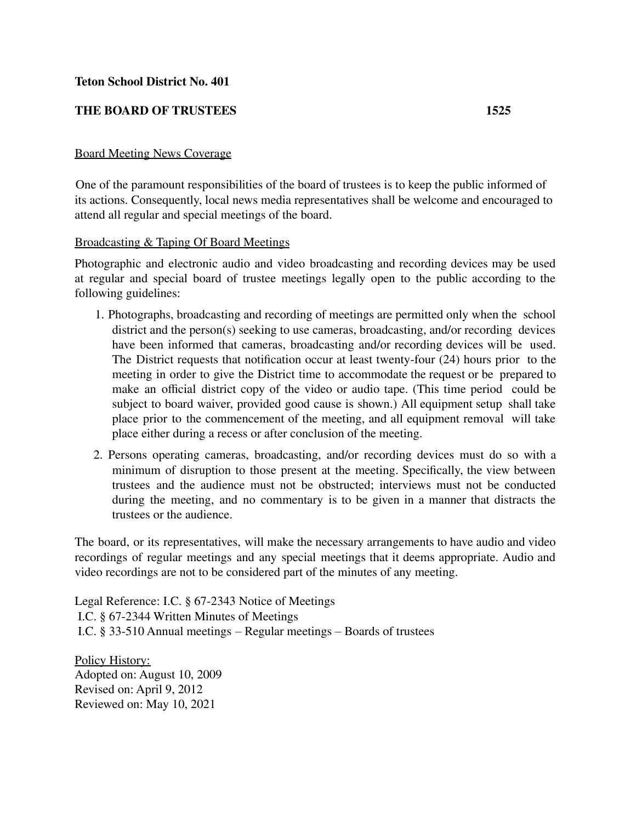## **Teton School District No. 401**

## **THE BOARD OF TRUSTEES 1525**

## Board Meeting News Coverage

One of the paramount responsibilities of the board of trustees is to keep the public informed of its actions. Consequently, local news media representatives shall be welcome and encouraged to attend all regular and special meetings of the board.

## Broadcasting & Taping Of Board Meetings

Photographic and electronic audio and video broadcasting and recording devices may be used at regular and special board of trustee meetings legally open to the public according to the following guidelines:

- 1. Photographs, broadcasting and recording of meetings are permitted only when the school district and the person(s) seeking to use cameras, broadcasting, and/or recording devices have been informed that cameras, broadcasting and/or recording devices will be used. The District requests that notification occur at least twenty-four (24) hours prior to the meeting in order to give the District time to accommodate the request or be prepared to make an official district copy of the video or audio tape. (This time period could be subject to board waiver, provided good cause is shown.) All equipment setup shall take place prior to the commencement of the meeting, and all equipment removal will take place either during a recess or after conclusion of the meeting.
- 2. Persons operating cameras, broadcasting, and/or recording devices must do so with a minimum of disruption to those present at the meeting. Specifically, the view between trustees and the audience must not be obstructed; interviews must not be conducted during the meeting, and no commentary is to be given in a manner that distracts the trustees or the audience.

The board, or its representatives, will make the necessary arrangements to have audio and video recordings of regular meetings and any special meetings that it deems appropriate. Audio and video recordings are not to be considered part of the minutes of any meeting.

Legal Reference: I.C. § 67-2343 Notice of Meetings I.C. § 67-2344 Written Minutes of Meetings I.C. § 33-510 Annual meetings – Regular meetings – Boards of trustees

Policy History: Adopted on: August 10, 2009 Revised on: April 9, 2012 Reviewed on: May 10, 2021